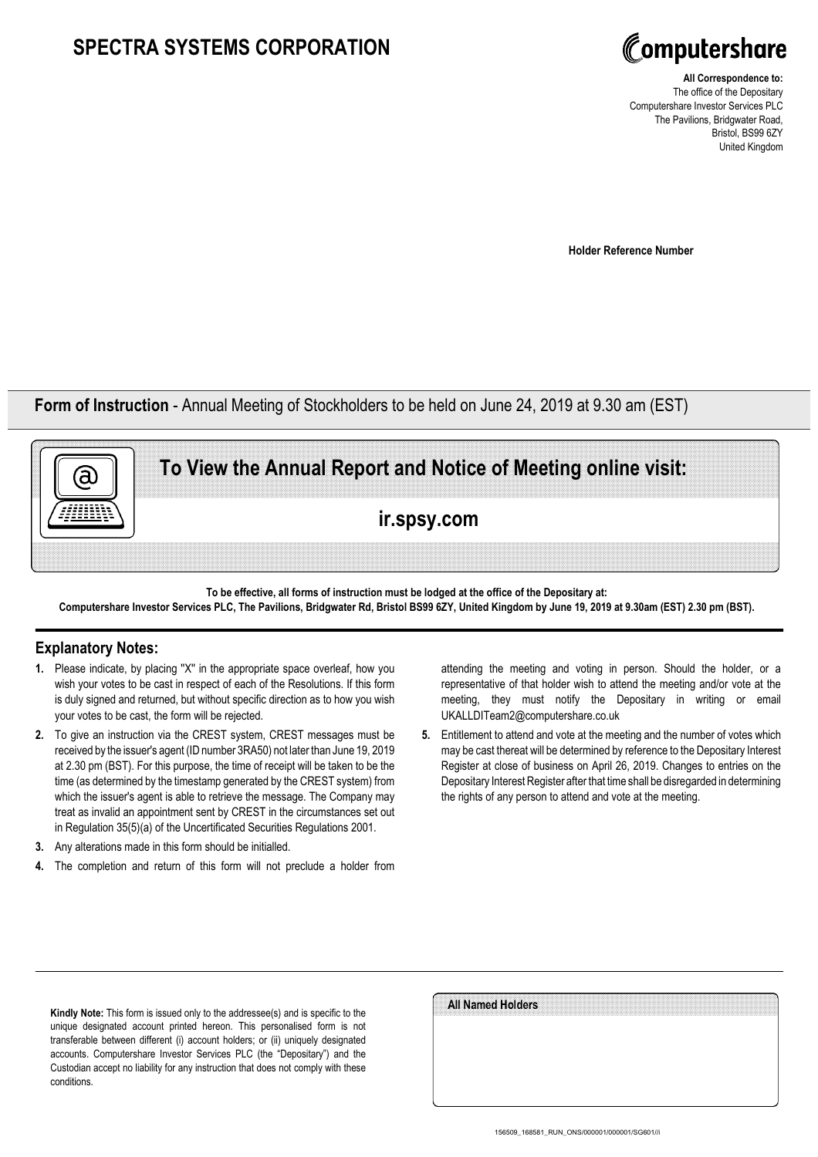## **SPECTRA SYSTEMS CORPORATION**



**All Correspondence to:** The office of the Depositary Computershare Investor Services PLC The Pavilions, Bridgwater Road, Bristol, BS99 6ZY United Kingdom

**Holder Reference Number**

**Form of Instruction** - Annual Meeting of Stockholders to be held on June 24, 2019 at 9.30 am (EST)



**To be effective, all forms of instruction must be lodged at the office of the Depositary at: Computershare Investor Services PLC, The Pavilions, Bridgwater Rd, Bristol BS99 6ZY, United Kingdom by June 19, 2019 at 9.30am (EST) 2.30 pm (BST).**

## **Explanatory Notes:**

- **1.** Please indicate, by placing ''X'' in the appropriate space overleaf, how you wish your votes to be cast in respect of each of the Resolutions. If this form is duly signed and returned, but without specific direction as to how you wish your votes to be cast, the form will be rejected.
- **2.** To give an instruction via the CREST system, CREST messages must be received by the issuer's agent (ID number 3RA50) not later than June 19, 2019 at 2.30 pm (BST). For this purpose, the time of receipt will be taken to be the time (as determined by the timestamp generated by the CREST system) from which the issuer's agent is able to retrieve the message. The Company may treat as invalid an appointment sent by CREST in the circumstances set out in Regulation 35(5)(a) of the Uncertificated Securities Regulations 2001.
- **3.** Any alterations made in this form should be initialled.
- **4.** The completion and return of this form will not preclude a holder from

attending the meeting and voting in person. Should the holder, or a representative of that holder wish to attend the meeting and/or vote at the meeting, they must notify the Depositary in writing or email UKALLDITeam2@computershare.co.uk

**5.** Entitlement to attend and vote at the meeting and the number of votes which may be cast thereat will be determined by reference to the Depositary Interest Register at close of business on April 26, 2019. Changes to entries on the Depositary Interest Register after that time shall be disregarded in determining the rights of any person to attend and vote at the meeting.

**Kindly Note:** This form is issued only to the addressee(s) and is specific to the unique designated account printed hereon. This personalised form is not transferable between different (i) account holders; or (ii) uniquely designated accounts. Computershare Investor Services PLC (the "Depositary") and the Custodian accept no liability for any instruction that does not comply with these conditions.

| All Named Holders |  |  |
|-------------------|--|--|
|                   |  |  |
|                   |  |  |
|                   |  |  |
|                   |  |  |